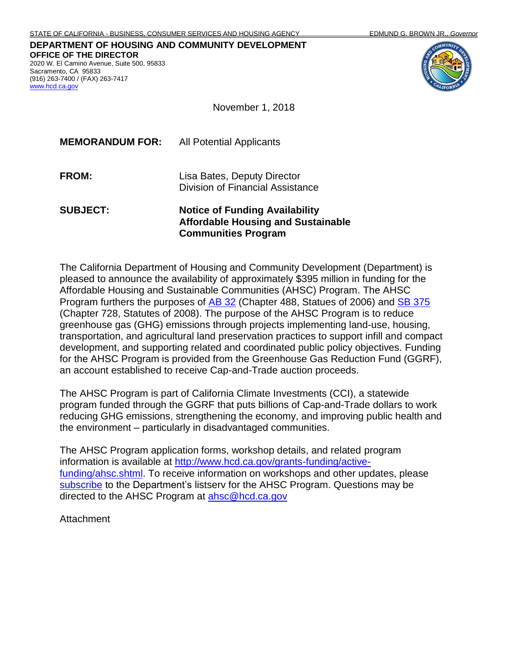**DEPARTMENT OF HOUSING AND COMMUNITY DEVELOPMENT OFFICE OF THE DIRECTOR** 2020 W. El Camino Avenue, Suite 500, 95833 Sacramento, CA 95833 (916) 263-7400 / (FAX) 263-7417 [www.hcd.ca.gov](http://www.hcd.ca.gov/)



November 1, 2018

| <b>MEMORANDUM FOR:</b> | <b>All Potential Applicants</b>                                 |
|------------------------|-----------------------------------------------------------------|
| FROM:                  | Lisa Bates, Deputy Director<br>Division of Financial Assistance |
|                        |                                                                 |

#### **SUBJECT: Notice of Funding Availability Affordable Housing and Sustainable Communities Program**

The California Department of Housing and Community Development (Department) is pleased to announce the availability of approximately \$395 million in funding for the Affordable Housing and Sustainable Communities (AHSC) Program. The AHSC Program furthers the purposes of [AB 32](http://leginfo.legislature.ca.gov/faces/billNavClient.xhtml?bill_id=200520060AB32&search_keywords=) (Chapter 488, Statues of 2006) and [SB 375](http://leginfo.legislature.ca.gov/faces/billNavClient.xhtml?bill_id=200720080SB375&search_keywords=) (Chapter 728, Statutes of 2008). The purpose of the AHSC Program is to reduce greenhouse gas (GHG) emissions through projects implementing land-use, housing, transportation, and agricultural land preservation practices to support infill and compact development, and supporting related and coordinated public policy objectives. Funding for the AHSC Program is provided from the Greenhouse Gas Reduction Fund (GGRF), an account established to receive Cap-and-Trade auction proceeds.

The AHSC Program is part of California Climate Investments (CCI), a statewide program funded through the GGRF that puts billions of Cap-and-Trade dollars to work reducing GHG emissions, strengthening the economy, and improving public health and the environment – particularly in disadvantaged communities.

The AHSC Program application forms, workshop details, and related program information is available at [http://www.hcd.ca.gov/grants-funding/active](http://www.hcd.ca.gov/grants-funding/active-funding/ahsc.shtml)[funding/ahsc.shtml.](http://www.hcd.ca.gov/grants-funding/active-funding/ahsc.shtml) To receive information on workshops and other updates, please [subscribe](http://www.hcd.ca.gov/HCD_SSI/subscribe-form.html) to the Department's listserv for the AHSC Program. Questions may be directed to the AHSC Program at [ahsc@hcd.ca.gov](mailto:ahsc@hcd.ca.gov)

**Attachment**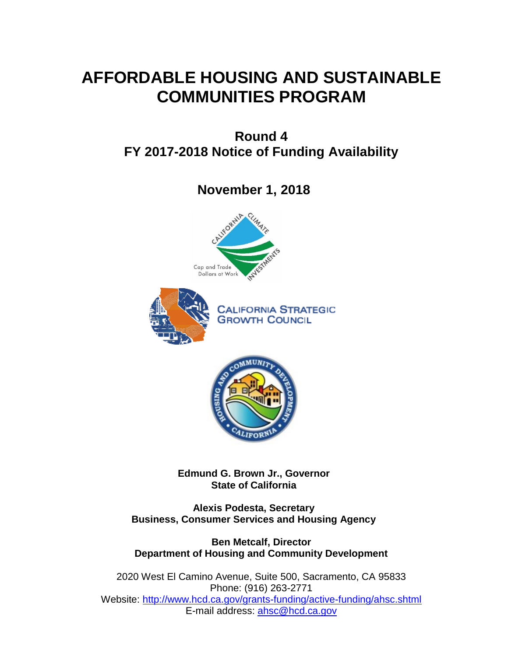# **AFFORDABLE HOUSING AND SUSTAINABLE COMMUNITIES PROGRAM**

**Round 4 FY 2017-2018 Notice of Funding Availability**

**November 1, 2018**





**CALIFORNIA STRATEGIC GROWTH COUNCIL** 



**Edmund G. Brown Jr., Governor State of California**

**Alexis Podesta, Secretary Business, Consumer Services and Housing Agency**

**Ben Metcalf, Director Department of Housing and Community Development**

2020 West El Camino Avenue, Suite 500, Sacramento, CA 95833 Phone: (916) 263-2771 Website: <http://www.hcd.ca.gov/grants-funding/active-funding/ahsc.shtml> E-mail address: [ahsc@hcd.ca.gov](mailto:ahsc@hcd.ca.gov)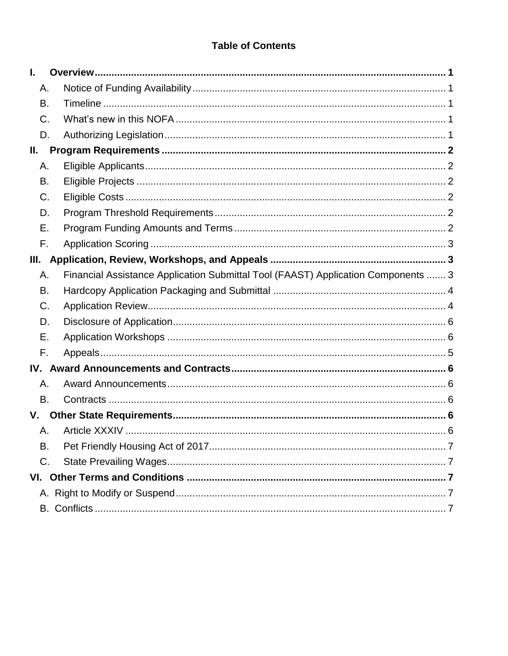# **Table of Contents**

| I. |                                                                                   |  |
|----|-----------------------------------------------------------------------------------|--|
| А. |                                                                                   |  |
| В. |                                                                                   |  |
| C. |                                                                                   |  |
| D. |                                                                                   |  |
| Ш. |                                                                                   |  |
| Α. |                                                                                   |  |
| В. |                                                                                   |  |
| C. |                                                                                   |  |
| D. |                                                                                   |  |
| Е. |                                                                                   |  |
| F. |                                                                                   |  |
| Ш. |                                                                                   |  |
| Α. | Financial Assistance Application Submittal Tool (FAAST) Application Components  3 |  |
| В. |                                                                                   |  |
| C. |                                                                                   |  |
| D. |                                                                                   |  |
| Е. |                                                                                   |  |
| F. |                                                                                   |  |
|    |                                                                                   |  |
| А. |                                                                                   |  |
| В. |                                                                                   |  |
| V. |                                                                                   |  |
| Α. |                                                                                   |  |
| В. |                                                                                   |  |
| C. |                                                                                   |  |
|    |                                                                                   |  |
|    |                                                                                   |  |
|    |                                                                                   |  |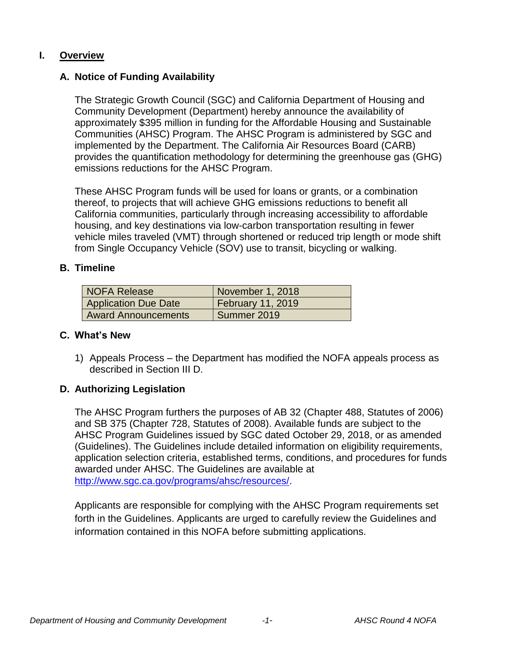#### <span id="page-3-1"></span><span id="page-3-0"></span>**I. Overview**

### **A. Notice of Funding Availability**

The Strategic Growth Council (SGC) and California Department of Housing and Community Development (Department) hereby announce the availability of approximately \$395 million in funding for the Affordable Housing and Sustainable Communities (AHSC) Program. The AHSC Program is administered by SGC and implemented by the Department. The California Air Resources Board (CARB) provides the quantification methodology for determining the greenhouse gas (GHG) emissions reductions for the AHSC Program.

These AHSC Program funds will be used for loans or grants, or a combination thereof, to projects that will achieve GHG emissions reductions to benefit all California communities, particularly through increasing accessibility to affordable housing, and key destinations via low-carbon transportation resulting in fewer vehicle miles traveled (VMT) through shortened or reduced trip length or mode shift from Single Occupancy Vehicle (SOV) use to transit, bicycling or walking.

#### <span id="page-3-2"></span>**B. Timeline**

| NOFA Release                | November 1, 2018         |
|-----------------------------|--------------------------|
| <b>Application Due Date</b> | <b>February 11, 2019</b> |
| <b>Award Announcements</b>  | Summer 2019              |

#### <span id="page-3-3"></span>**C. What's New**

1) Appeals Process – the Department has modified the NOFA appeals process as described in Section III D.

### <span id="page-3-4"></span>**D. Authorizing Legislation**

The AHSC Program furthers the purposes of AB 32 (Chapter 488, Statutes of 2006) and SB 375 (Chapter 728, Statutes of 2008). Available funds are subject to the AHSC Program Guidelines issued by SGC dated October 29, 2018, or as amended (Guidelines). The Guidelines include detailed information on eligibility requirements, application selection criteria, established terms, conditions, and procedures for funds awarded under AHSC. The Guidelines are available at [http://www.sgc.ca.gov/programs/ahsc/resources/.](http://www.sgc.ca.gov/programs/ahsc/resources/)

Applicants are responsible for complying with the AHSC Program requirements set forth in the Guidelines. Applicants are urged to carefully review the Guidelines and information contained in this NOFA before submitting applications.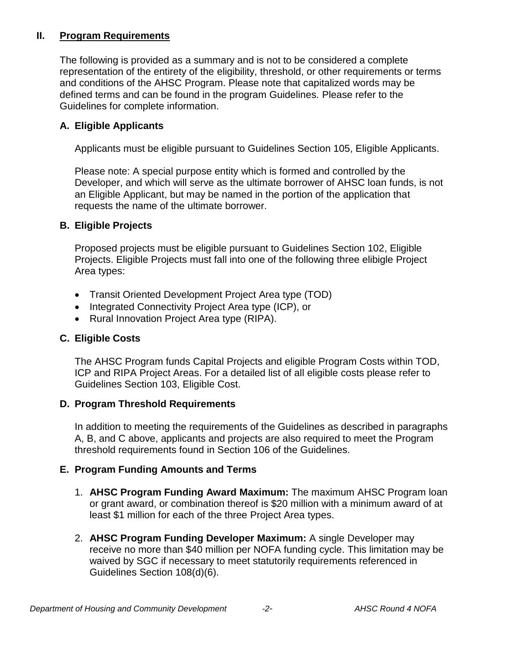## <span id="page-4-0"></span>**II. Program Requirements**

The following is provided as a summary and is not to be considered a complete representation of the entirety of the eligibility, threshold, or other requirements or terms and conditions of the AHSC Program. Please note that capitalized words may be defined terms and can be found in the program Guidelines. Please refer to the Guidelines for complete information.

# <span id="page-4-1"></span>**A. Eligible Applicants**

Applicants must be eligible pursuant to Guidelines Section 105, Eligible Applicants.

Please note: A special purpose entity which is formed and controlled by the Developer, and which will serve as the ultimate borrower of AHSC loan funds, is not an Eligible Applicant, but may be named in the portion of the application that requests the name of the ultimate borrower.

## <span id="page-4-2"></span>**B. Eligible Projects**

Proposed projects must be eligible pursuant to Guidelines Section 102, Eligible Projects. Eligible Projects must fall into one of the following three elibigle Project Area types:

- Transit Oriented Development Project Area type (TOD)
- Integrated Connectivity Project Area type (ICP), or
- Rural Innovation Project Area type (RIPA).

# <span id="page-4-3"></span>**C. Eligible Costs**

The AHSC Program funds Capital Projects and eligible Program Costs within TOD, ICP and RIPA Project Areas. For a detailed list of all eligible costs please refer to Guidelines Section 103, Eligible Cost.

### <span id="page-4-4"></span>**D. Program Threshold Requirements**

In addition to meeting the requirements of the Guidelines as described in paragraphs A, B, and C above, applicants and projects are also required to meet the Program threshold requirements found in Section 106 of the Guidelines.

### <span id="page-4-5"></span>**E. Program Funding Amounts and Terms**

- 1. **AHSC Program Funding Award Maximum:** The maximum AHSC Program loan or grant award, or combination thereof is \$20 million with a minimum award of at least \$1 million for each of the three Project Area types.
- 2. **AHSC Program Funding Developer Maximum:** A single Developer may receive no more than \$40 million per NOFA funding cycle. This limitation may be waived by SGC if necessary to meet statutorily requirements referenced in Guidelines Section 108(d)(6).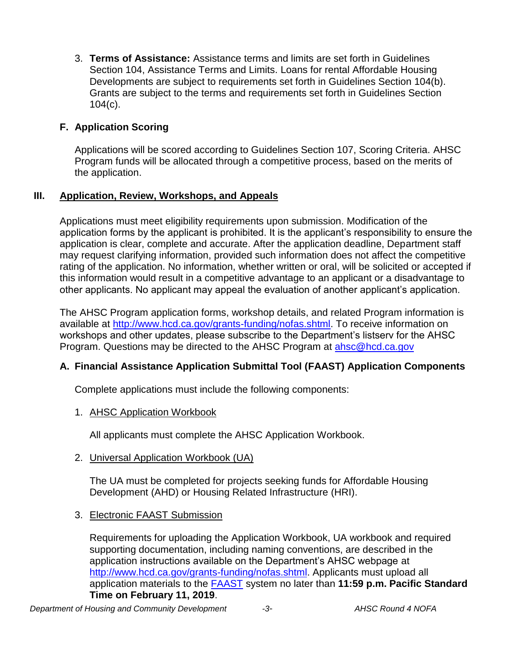3. **Terms of Assistance:** Assistance terms and limits are set forth in Guidelines Section 104, Assistance Terms and Limits. Loans for rental Affordable Housing Developments are subject to requirements set forth in Guidelines Section 104(b). Grants are subject to the terms and requirements set forth in Guidelines Section 104(c).

## <span id="page-5-0"></span>**F. Application Scoring**

Applications will be scored according to Guidelines Section 107, Scoring Criteria. AHSC Program funds will be allocated through a competitive process, based on the merits of the application.

### <span id="page-5-1"></span>**III. Application, Review, Workshops, and Appeals**

Applications must meet eligibility requirements upon submission. Modification of the application forms by the applicant is prohibited. It is the applicant's responsibility to ensure the application is clear, complete and accurate. After the application deadline, Department staff may request clarifying information, provided such information does not affect the competitive rating of the application. No information, whether written or oral, will be solicited or accepted if this information would result in a competitive advantage to an applicant or a disadvantage to other applicants. No applicant may appeal the evaluation of another applicant's application.

The AHSC Program application forms, workshop details, and related Program information is available at [http://www.hcd.ca.gov/grants-funding/nofas.shtml.](http://www.hcd.ca.gov/grants-funding/nofas.shtml) To receive information on workshops and other updates, please subscribe to the Department's listserv for the AHSC Program. Questions may be directed to the AHSC Program at [ahsc@hcd.ca.gov](file:///C:/Users/satha/AppData/Local/Microsoft/Windows/INetCache/Content.Outlook/Q1OYYK6J/ahsc@hcd.ca.gov)

### <span id="page-5-2"></span>**A. Financial Assistance Application Submittal Tool (FAAST) Application Components**

Complete applications must include the following components:

1. AHSC Application Workbook

All applicants must complete the AHSC Application Workbook.

#### 2. Universal Application Workbook (UA)

The UA must be completed for projects seeking funds for Affordable Housing Development (AHD) or Housing Related Infrastructure (HRI).

3. Electronic FAAST Submission

Requirements for uploading the Application Workbook, UA workbook and required supporting documentation, including naming conventions, are described in the application instructions available on the Department's AHSC webpage at [http://www.hcd.ca.gov/grants-funding/nofas.shtml.](http://www.hcd.ca.gov/grants-funding/nofas.shtml) Applicants must upload all application materials to the [FAAST](https://faast.waterboards.ca.gov/Login.aspx) system no later than **11:59 p.m. Pacific Standard Time on February 11, 2019**.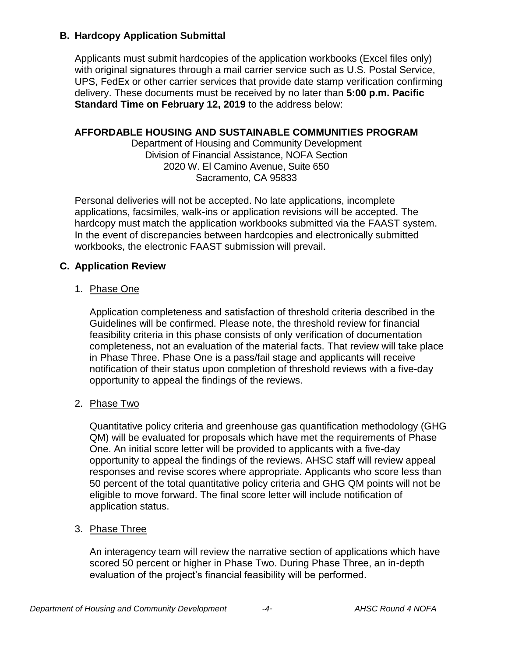#### <span id="page-6-0"></span>**B. Hardcopy Application Submittal**

Applicants must submit hardcopies of the application workbooks (Excel files only) with original signatures through a mail carrier service such as U.S. Postal Service, UPS, FedEx or other carrier services that provide date stamp verification confirming delivery. These documents must be received by no later than **5:00 p.m. Pacific Standard Time on February 12, 2019** to the address below:

#### **AFFORDABLE HOUSING AND SUSTAINABLE COMMUNITIES PROGRAM**

Department of Housing and Community Development Division of Financial Assistance, NOFA Section 2020 W. El Camino Avenue, Suite 650 Sacramento, CA 95833

Personal deliveries will not be accepted. No late applications, incomplete applications, facsimiles, walk-ins or application revisions will be accepted. The hardcopy must match the application workbooks submitted via the FAAST system. In the event of discrepancies between hardcopies and electronically submitted workbooks, the electronic FAAST submission will prevail.

### <span id="page-6-1"></span>**C. Application Review**

#### 1. Phase One

Application completeness and satisfaction of threshold criteria described in the Guidelines will be confirmed. Please note, the threshold review for financial feasibility criteria in this phase consists of only verification of documentation completeness, not an evaluation of the material facts. That review will take place in Phase Three. Phase One is a pass/fail stage and applicants will receive notification of their status upon completion of threshold reviews with a five-day opportunity to appeal the findings of the reviews.

#### 2. Phase Two

Quantitative policy criteria and greenhouse gas quantification methodology (GHG QM) will be evaluated for proposals which have met the requirements of Phase One. An initial score letter will be provided to applicants with a five-day opportunity to appeal the findings of the reviews. AHSC staff will review appeal responses and revise scores where appropriate. Applicants who score less than 50 percent of the total quantitative policy criteria and GHG QM points will not be eligible to move forward. The final score letter will include notification of application status.

### 3. Phase Three

An interagency team will review the narrative section of applications which have scored 50 percent or higher in Phase Two. During Phase Three, an in-depth evaluation of the project's financial feasibility will be performed.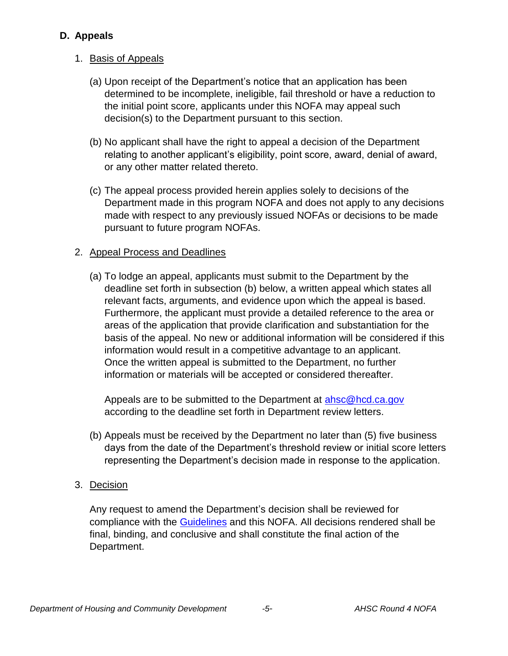## <span id="page-7-0"></span>**D. Appeals**

# 1. Basis of Appeals

- (a) Upon receipt of the Department's notice that an application has been determined to be incomplete, ineligible, fail threshold or have a reduction to the initial point score, applicants under this NOFA may appeal such decision(s) to the Department pursuant to this section.
- (b) No applicant shall have the right to appeal a decision of the Department relating to another applicant's eligibility, point score, award, denial of award, or any other matter related thereto.
- (c) The appeal process provided herein applies solely to decisions of the Department made in this program NOFA and does not apply to any decisions made with respect to any previously issued NOFAs or decisions to be made pursuant to future program NOFAs.

### 2. Appeal Process and Deadlines

(a) To lodge an appeal, applicants must submit to the Department by the deadline set forth in subsection (b) below, a written appeal which states all relevant facts, arguments, and evidence upon which the appeal is based. Furthermore, the applicant must provide a detailed reference to the area or areas of the application that provide clarification and substantiation for the basis of the appeal. No new or additional information will be considered if this information would result in a competitive advantage to an applicant. Once the written appeal is submitted to the Department, no further information or materials will be accepted or considered thereafter.

Appeals are to be submitted to the Department at [ahsc@hcd.ca.gov](mailto:ahsc@hcd.ca.gov) according to the deadline set forth in Department review letters.

- (b) Appeals must be received by the Department no later than (5) five business days from the date of the Department's threshold review or initial score letters representing the Department's decision made in response to the application.
- 3. Decision

Any request to amend the Department's decision shall be reviewed for compliance with the [Guidelines](http://sgc.ca.gov/programs/ahsc/resources) and this NOFA. All decisions rendered shall be final, binding, and conclusive and shall constitute the final action of the Department.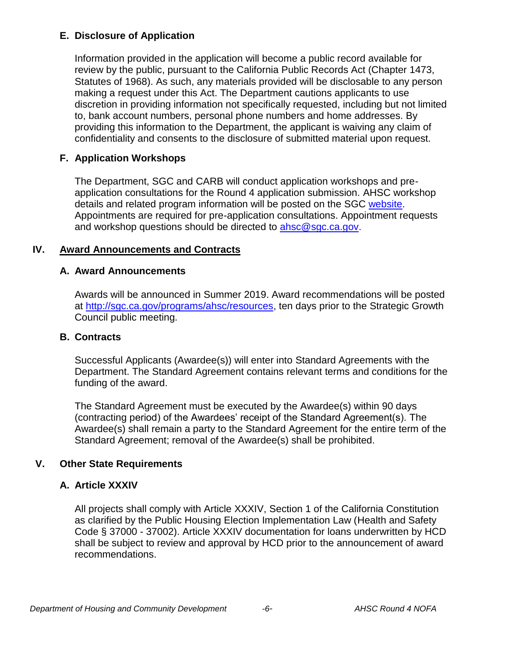## <span id="page-8-0"></span>**E. Disclosure of Application**

Information provided in the application will become a public record available for review by the public, pursuant to the California Public Records Act (Chapter 1473, Statutes of 1968). As such, any materials provided will be disclosable to any person making a request under this Act. The Department cautions applicants to use discretion in providing information not specifically requested, including but not limited to, bank account numbers, personal phone numbers and home addresses. By providing this information to the Department, the applicant is waiving any claim of confidentiality and consents to the disclosure of submitted material upon request.

## <span id="page-8-1"></span>**F. Application Workshops**

The Department, SGC and CARB will conduct application workshops and preapplication consultations for the Round 4 application submission. AHSC workshop details and related program information will be posted on the SGC [website.](http://sgc.ca.gov/meetings) Appointments are required for pre-application consultations. Appointment requests and workshop questions should be directed to [ahsc@sgc.ca.gov.](mailto:ahsc@sgc.ca.gov)

### <span id="page-8-3"></span><span id="page-8-2"></span>**IV. Award Announcements and Contracts**

### **A. Award Announcements**

Awards will be announced in Summer 2019. Award recommendations will be posted at [http://sgc.ca.gov/programs/ahsc/resources,](http://sgc.ca.gov/programs/ahsc/resources) ten days prior to the Strategic Growth Council public meeting.

### <span id="page-8-4"></span>**B. Contracts**

Successful Applicants (Awardee(s)) will enter into Standard Agreements with the Department. The Standard Agreement contains relevant terms and conditions for the funding of the award.

The Standard Agreement must be executed by the Awardee(s) within 90 days (contracting period) of the Awardees' receipt of the Standard Agreement(s). The Awardee(s) shall remain a party to the Standard Agreement for the entire term of the Standard Agreement; removal of the Awardee(s) shall be prohibited.

# <span id="page-8-6"></span><span id="page-8-5"></span>**V. Other State Requirements**

# **A. Article XXXIV**

All projects shall comply with Article XXXIV, Section 1 of the California Constitution as clarified by the Public Housing Election Implementation Law (Health and Safety Code § 37000 - 37002). Article XXXIV documentation for loans underwritten by HCD shall be subject to review and approval by HCD prior to the announcement of award recommendations.